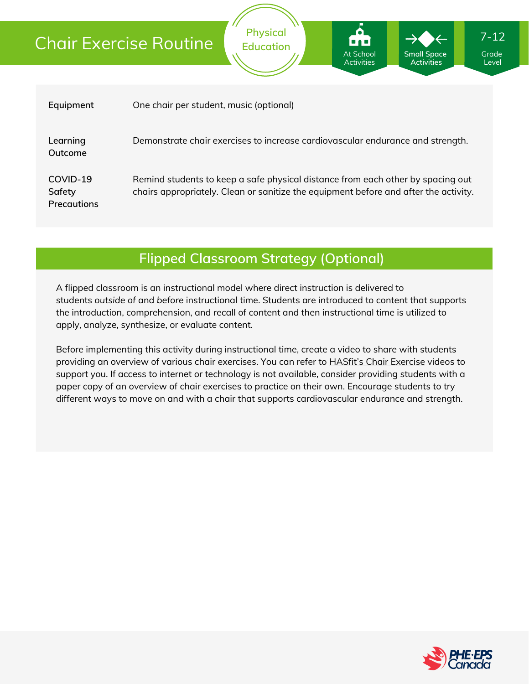# Chair Exercise Routine

| Equipment                                | One chair per student, music (optional)                                                                                                                                 |
|------------------------------------------|-------------------------------------------------------------------------------------------------------------------------------------------------------------------------|
| Learning<br>Outcome                      | Demonstrate chair exercises to increase cardiovascular endurance and strength.                                                                                          |
| COVID-19<br>Safety<br><b>Precautions</b> | Remind students to keep a safe physical distance from each other by spacing out<br>chairs appropriately. Clean or sanitize the equipment before and after the activity. |

**Physical Education**

At School **Activities**  **Small Space Activities**

### **Flipped Classroom Strategy (Optional)**

A flipped classroom is an instructional model where direct instruction is delivered to students *outside of* and *before* instructional time. Students are introduced to content that supports the introduction, comprehension, and recall of content and then instructional time is utilized to apply, analyze, synthesize, or evaluate content.

Before implementing this activity during instructional time, create a video to share with students providing an overview of various chair exercises. You can refer to **HASfit's Chair [Exercise](https://www.youtube.com/c/Hasfit/search?query=chair)** videos to support you. If access to internet or technology is not available, consider providing students with a paper copy of an overview of chair exercises to practice on their own. Encourage students to try different ways to move on and with a chair that supports cardiovascular endurance and strength.



Grade Level

7-12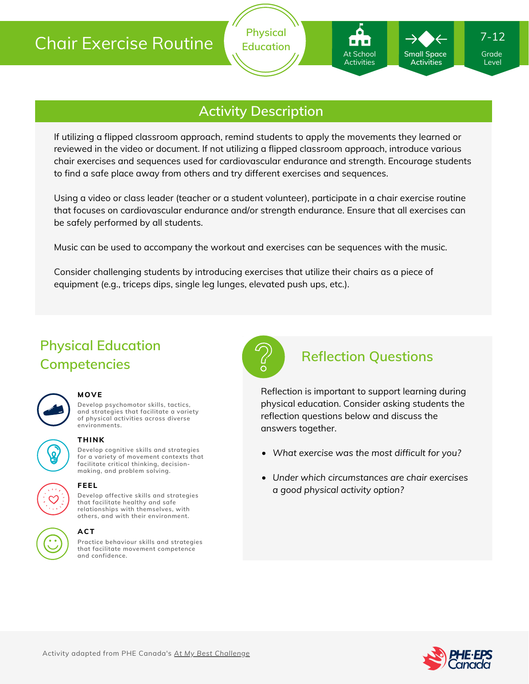

**Physical Education**

If utilizing a flipped classroom approach, remind students to apply the movements they learned or reviewed in the video or document. If not utilizing a flipped classroom approach, introduce various chair exercises and sequences used for cardiovascular endurance and strength. Encourage students to find a safe place away from others and try different exercises and sequences.

Using a video or class leader (teacher or a student volunteer), participate in a chair exercise routine that focuses on cardiovascular endurance and/or strength endurance. Ensure that all exercises can be safely performed by all students.

Music can be used to accompany the workout and exercises can be sequences with the music.

Consider challenging students by introducing exercises that utilize their chairs as a piece of equipment (e.g., triceps dips, single leg lunges, elevated push ups, etc.).

# **Physical Education Competencies**

#### **MOVE**

**Develop psychomotor skills, tactics, and strategies that facilitate a variety of physical activities across diverse environments.**



#### **THINK**

**Develop cognitive skills and strategies for a variety of movement contexts that facilitate critical thinking, decision making, and problem solving.**



#### **FEEL**

**Develop affective skills and strategies that facilitate healthy and safe relationships with themselves, with others, and with their environment.**

#### **ACT**

**Practice behaviour skills and strategies that facilitate movement competence and confidence.**



### **Reflection Questions**

At School Activities

**Small Space Activities**

Reflection is important to support learning during physical education. Consider asking students the reflection questions below and discuss the answers together.

- *What exercise was the most difficult for you?*
- *Under which circumstances are chair exercises a good physical activity option?*



Grade Level

7-12